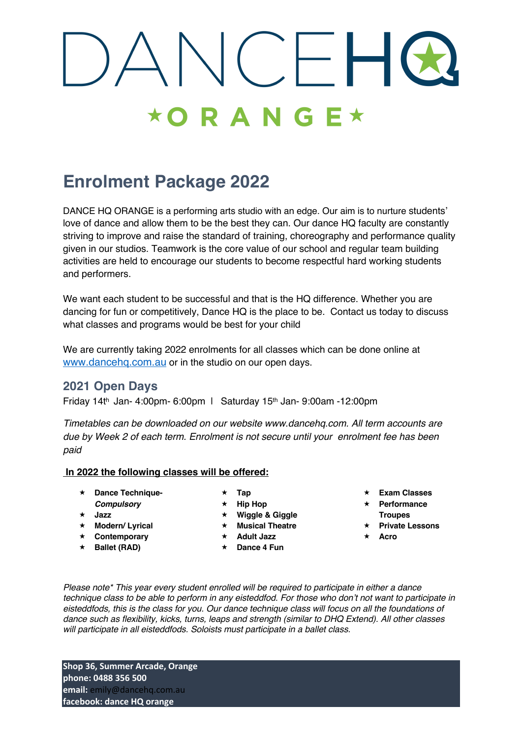## $\bigcap$  $\star$ ORANG

### **Enrolment Package 2022**

DANCE HQ ORANGE is a performing arts studio with an edge. Our aim is to nurture students' love of dance and allow them to be the best they can. Our dance HQ faculty are constantly striving to improve and raise the standard of training, choreography and performance quality given in our studios. Teamwork is the core value of our school and regular team building activities are held to encourage our students to become respectful hard working students and performers.

We want each student to be successful and that is the HQ difference. Whether you are dancing for fun or competitively, Dance HQ is the place to be. Contact us today to discuss what classes and programs would be best for your child.

We are currently taking 2022 enrolments for all classes which can be done online at www.dancehq.com.au or in the studio on our open days.

### **2021 Open Days**

Friday 14th Jan- 4:00pm- 6:00pm | Saturday 15th Jan- 9:00am -12:00pm

*Timetables can be downloaded on our website www.dancehq.com. All term accounts are due by Week 2 of each term. Enrolment is not secure until your enrolment fee has been paid*

#### **In 2022 the following classes will be offered:**

- « **Dance Technique-**
- *Compulsory*
- « **Jazz** « **Modern/ Lyrical**
- « **Contemporary**
- « **Ballet (RAD)**
- « **Tap**
- **Hip Hop**
- **Wiggle & Giggle**
- **Musical Theatre**
- **Adult Jazz**
- « **Dance 4 Fun**
- « **Exam Classes**
- « **Performance Troupes**
- « **Private Lessons**
- « **Acro**

*Please note\* This year every student enrolled will be required to participate in either a dance technique class to be able to perform in any eisteddfod. For those who don't not want to participate in eisteddfods, this is the class for you. Our dance technique class will focus on all the foundations of dance such as flexibility, kicks, turns, leaps and strength (similar to DHQ Extend). All other classes will participate in all eisteddfods. Soloists must participate in a ballet class.*

**Shop 36, Summer Arcade, Orange phone: 0488 356 500 email:** emily@dancehq.com.au **facebook: dance HQ orange**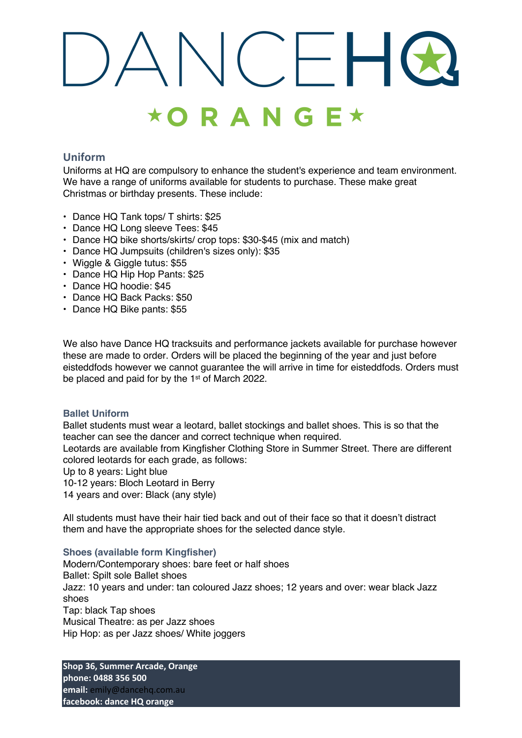### $\star$ ORANGE $\star$

### **Uniform**

Uniforms at HQ are compulsory to enhance the student's experience and team environment. We have a range of uniforms available for students to purchase. These make great Christmas or birthday presents. These include:

- Dance HQ Tank tops/ T shirts: \$25
- Dance HQ Long sleeve Tees: \$45
- Dance HQ bike shorts/skirts/ crop tops: \$30-\$45 (mix and match)
- Dance HQ Jumpsuits (children's sizes only): \$35
- Wiggle & Giggle tutus: \$55
- Dance HQ Hip Hop Pants: \$25
- Dance HQ hoodie: \$45
- Dance HQ Back Packs: \$50
- Dance HQ Bike pants: \$55

We also have Dance HQ tracksuits and performance jackets available for purchase however these are made to order. Orders will be placed the beginning of the year and just before eisteddfods however we cannot guarantee the will arrive in time for eisteddfods. Orders must be placed and paid for by the 1<sup>st</sup> of March 2022.

### **Ballet Uniform**

Ballet students must wear a leotard, ballet stockings and ballet shoes. This is so that the teacher can see the dancer and correct technique when required.

Leotards are available from Kingfisher Clothing Store in Summer Street. There are different colored leotards for each grade, as follows:

Up to 8 years: Light blue

10-12 years: Bloch Leotard in Berry

14 years and over: Black (any style)

All students must have their hair tied back and out of their face so that it doesn't distract them and have the appropriate shoes for the selected dance style.

### **Shoes (available form Kingfisher)**

Modern/Contemporary shoes: bare feet or half shoes Ballet: Spilt sole Ballet shoes Jazz: 10 years and under: tan coloured Jazz shoes; 12 years and over: wear black Jazz shoes Tap: black Tap shoes Musical Theatre: as per Jazz shoes Hip Hop: as per Jazz shoes/ White joggers

**Shop 36, Summer Arcade, Orange phone: 0488 356 500 email:** emily@dancehq.com.au **facebook: dance HQ orange**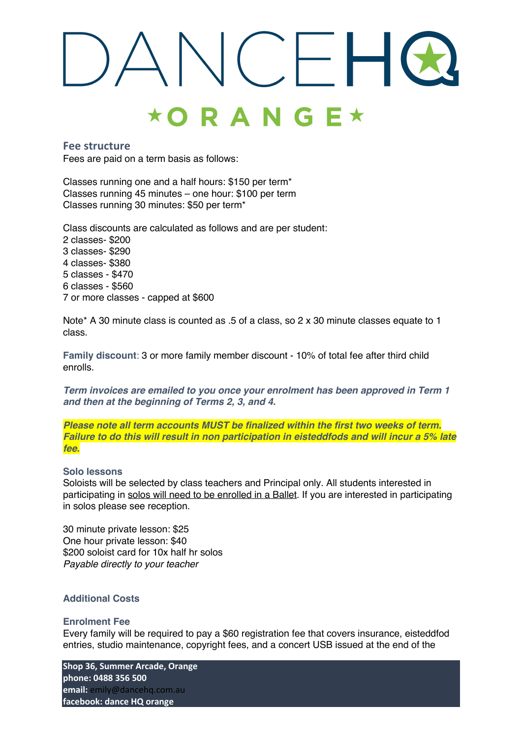### $C-H$  $\star$ ORANGE $\star$

### **Fee structure**

Fees are paid on a term basis as follows:

Classes running one and a half hours: \$150 per term\* Classes running 45 minutes – one hour: \$100 per term Classes running 30 minutes: \$50 per term\*

Class discounts are calculated as follows and are per student: 2 classes- \$200 3 classes- \$290 4 classes- \$380 5 classes - \$470 6 classes - \$560 7 or more classes - capped at \$600

Note\* A 30 minute class is counted as .5 of a class, so 2 x 30 minute classes equate to 1 class.

**Family discount**: 3 or more family member discount - 10% of total fee after third child enrolls.

*Term invoices are emailed to you once your enrolment has been approved in Term 1 and then at the beginning of Terms 2, 3, and 4.*

*Please note all term accounts MUST be finalized within the first two weeks of term. Failure to do this will result in non participation in eisteddfods and will incur a 5% late fee.*

#### **Solo lessons**

Soloists will be selected by class teachers and Principal only. All students interested in participating in solos will need to be enrolled in a Ballet. If you are interested in participating in solos please see reception.

30 minute private lesson: \$25 One hour private lesson: \$40 \$200 soloist card for 10x half hr solos *Payable directly to your teacher*

### **Additional Costs**

#### **Enrolment Fee**

Every family will be required to pay a \$60 registration fee that covers insurance, eisteddfod entries, studio maintenance, copyright fees, and a concert USB issued at the end of the

**Shop 36, Summer Arcade, Orange phone: 0488 356 500 email:** emily@dancehq.com.au **facebook: dance HQ orange**